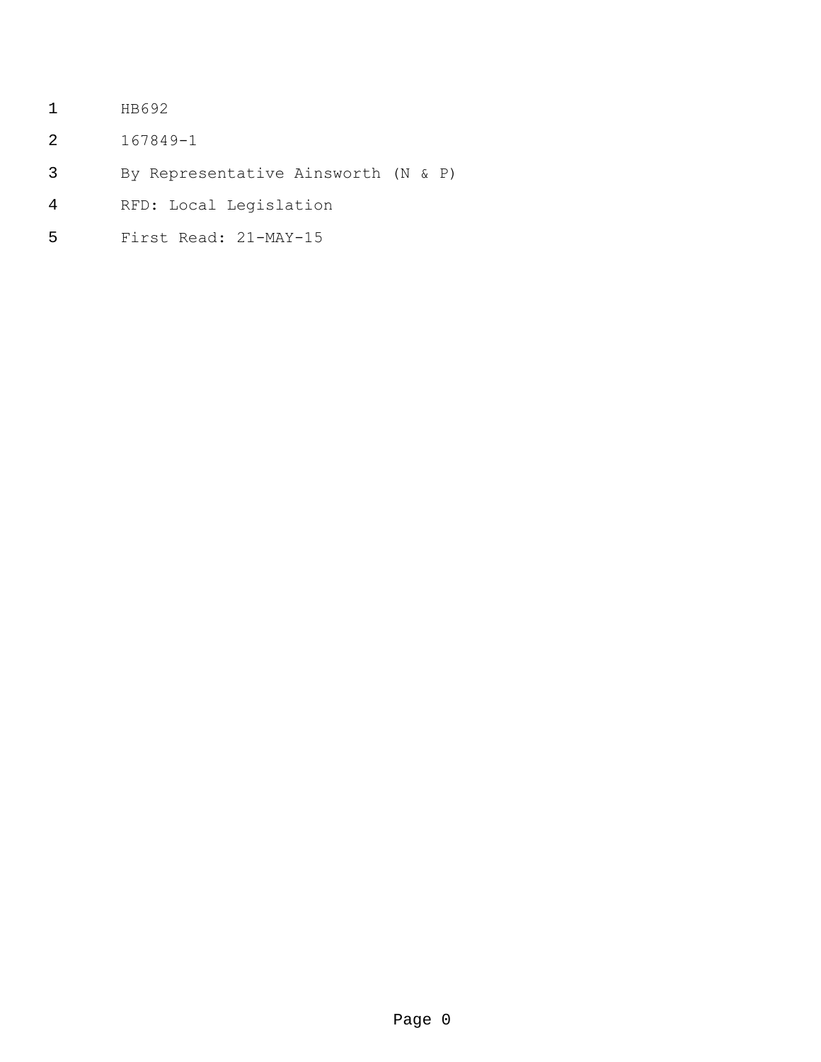- HB692
- 167849-1
- By Representative Ainsworth (N & P)
- RFD: Local Legislation
- First Read: 21-MAY-15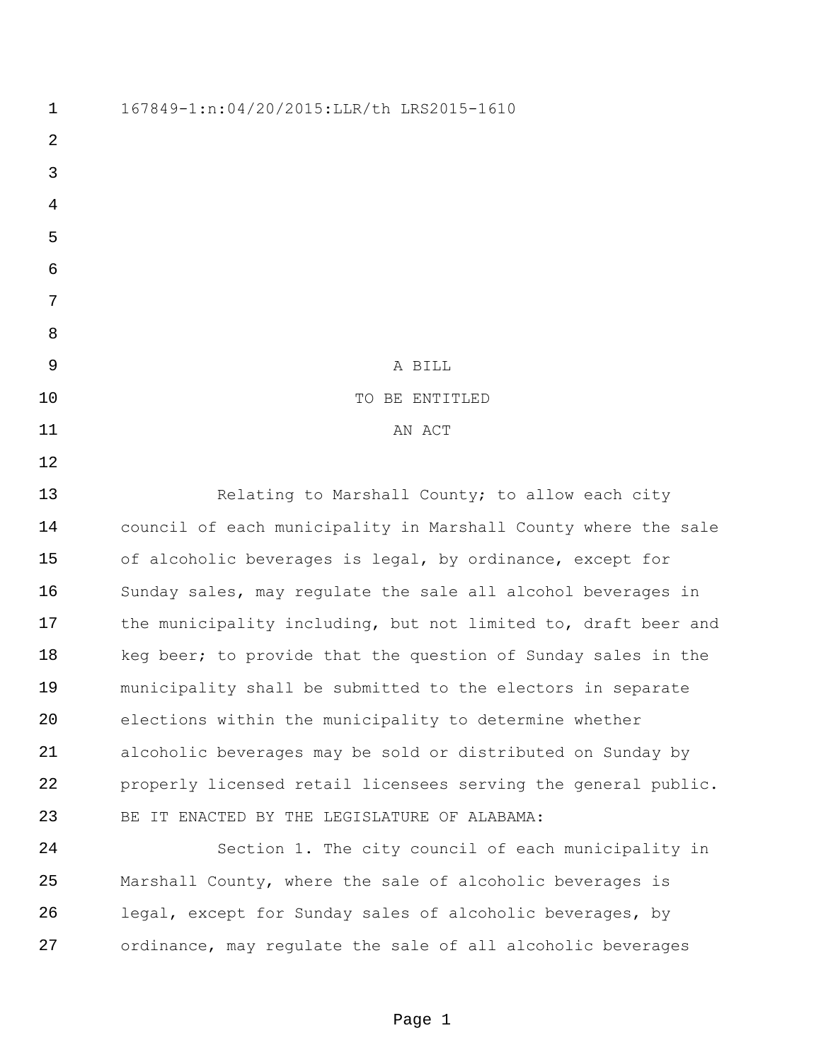| $\mathbf{1}$ | 167849-1:n:04/20/2015:LLR/th LRS2015-1610                      |
|--------------|----------------------------------------------------------------|
| 2            |                                                                |
| 3            |                                                                |
| 4            |                                                                |
| 5            |                                                                |
| 6            |                                                                |
| 7            |                                                                |
| 8            |                                                                |
| 9            | A BILL                                                         |
| 10           | TO BE ENTITLED                                                 |
| 11           | AN ACT                                                         |
| 12           |                                                                |
| 13           | Relating to Marshall County; to allow each city                |
| 14           | council of each municipality in Marshall County where the sale |
| 15           | of alcoholic beverages is legal, by ordinance, except for      |
| 16           | Sunday sales, may regulate the sale all alcohol beverages in   |
| 17           | the municipality including, but not limited to, draft beer and |
| 18           | keq beer; to provide that the question of Sunday sales in the  |
| 19           | municipality shall be submitted to the electors in separate    |
| 20           | elections within the municipality to determine whether         |
| 21           | alcoholic beverages may be sold or distributed on Sunday by    |
| 22           | properly licensed retail licensees serving the general public. |
| 23           | BE IT ENACTED BY THE LEGISLATURE OF ALABAMA:                   |
| 24           | Section 1. The city council of each municipality in            |
| 25           | Marshall County, where the sale of alcoholic beverages is      |
| 26           | legal, except for Sunday sales of alcoholic beverages, by      |
|              |                                                                |

Page 1

ordinance, may regulate the sale of all alcoholic beverages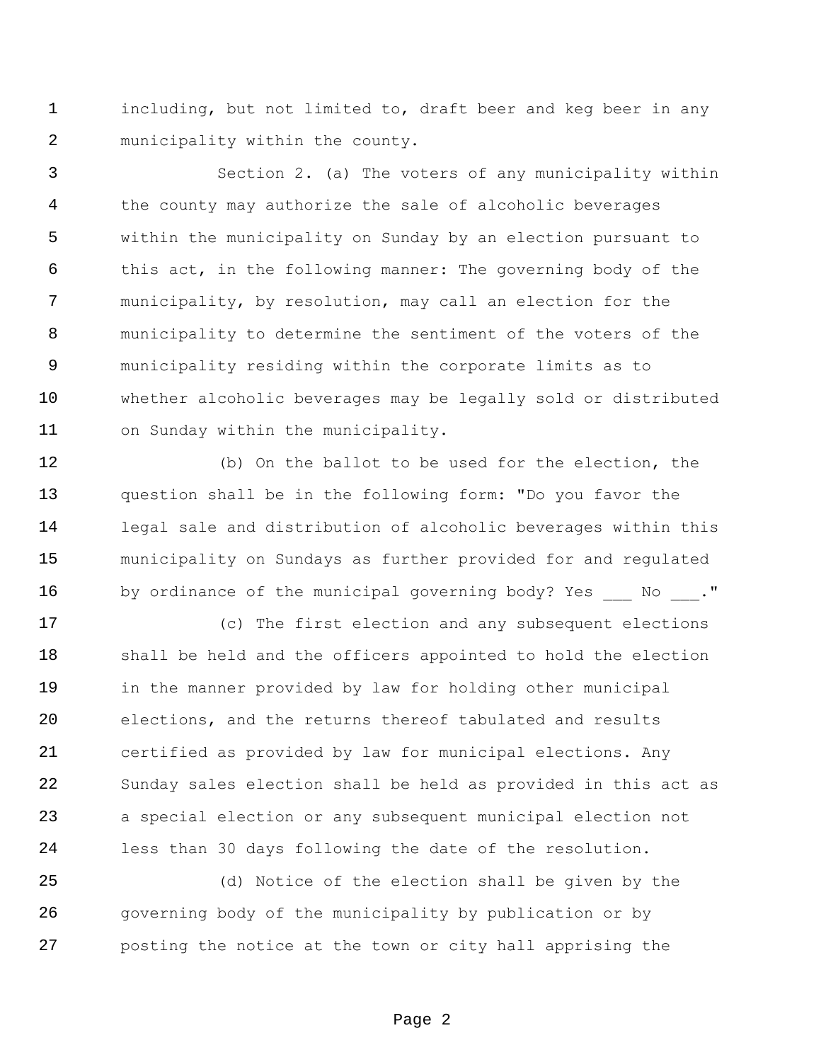1 including, but not limited to, draft beer and keg beer in any municipality within the county.

 Section 2. (a) The voters of any municipality within the county may authorize the sale of alcoholic beverages within the municipality on Sunday by an election pursuant to this act, in the following manner: The governing body of the municipality, by resolution, may call an election for the municipality to determine the sentiment of the voters of the municipality residing within the corporate limits as to whether alcoholic beverages may be legally sold or distributed on Sunday within the municipality.

 (b) On the ballot to be used for the election, the question shall be in the following form: "Do you favor the legal sale and distribution of alcoholic beverages within this municipality on Sundays as further provided for and regulated 16 by ordinance of the municipal governing body? Yes No ."

 (c) The first election and any subsequent elections shall be held and the officers appointed to hold the election in the manner provided by law for holding other municipal elections, and the returns thereof tabulated and results certified as provided by law for municipal elections. Any Sunday sales election shall be held as provided in this act as a special election or any subsequent municipal election not less than 30 days following the date of the resolution.

 (d) Notice of the election shall be given by the governing body of the municipality by publication or by posting the notice at the town or city hall apprising the

Page 2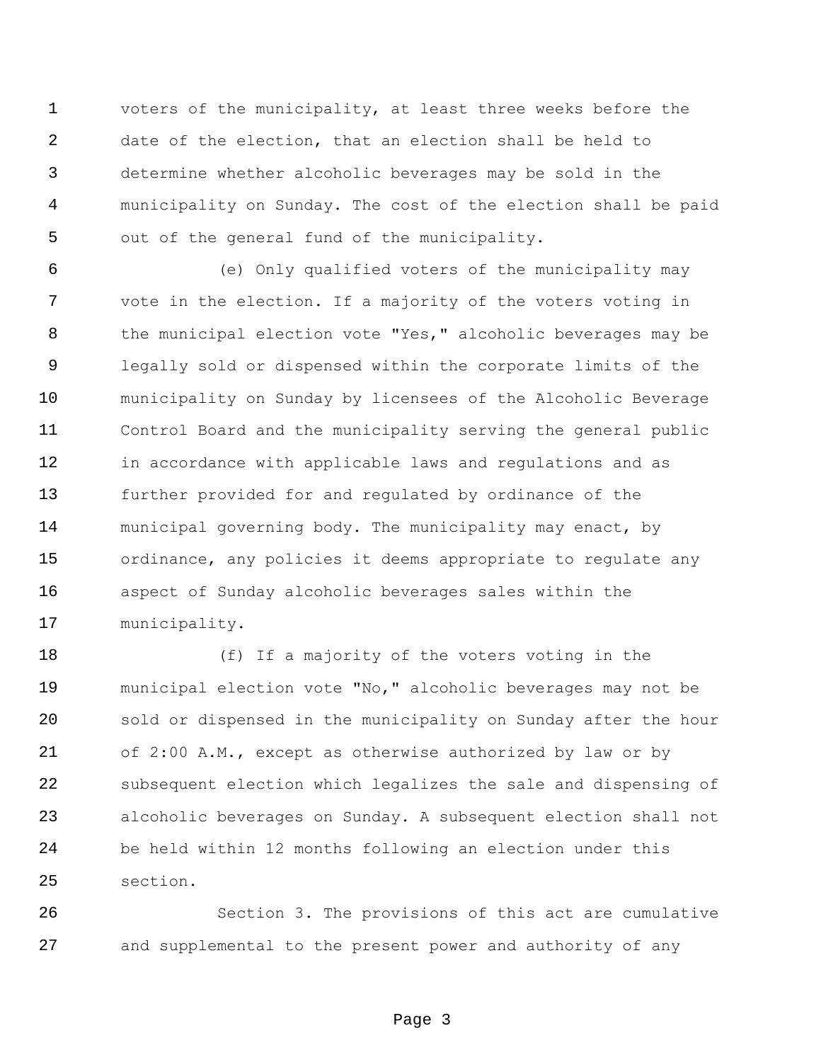voters of the municipality, at least three weeks before the date of the election, that an election shall be held to determine whether alcoholic beverages may be sold in the municipality on Sunday. The cost of the election shall be paid out of the general fund of the municipality.

 (e) Only qualified voters of the municipality may vote in the election. If a majority of the voters voting in 8 the municipal election vote "Yes," alcoholic beverages may be legally sold or dispensed within the corporate limits of the municipality on Sunday by licensees of the Alcoholic Beverage Control Board and the municipality serving the general public in accordance with applicable laws and regulations and as further provided for and regulated by ordinance of the municipal governing body. The municipality may enact, by ordinance, any policies it deems appropriate to regulate any aspect of Sunday alcoholic beverages sales within the municipality.

 (f) If a majority of the voters voting in the municipal election vote "No," alcoholic beverages may not be sold or dispensed in the municipality on Sunday after the hour of 2:00 A.M., except as otherwise authorized by law or by subsequent election which legalizes the sale and dispensing of alcoholic beverages on Sunday. A subsequent election shall not be held within 12 months following an election under this section.

 Section 3. The provisions of this act are cumulative and supplemental to the present power and authority of any